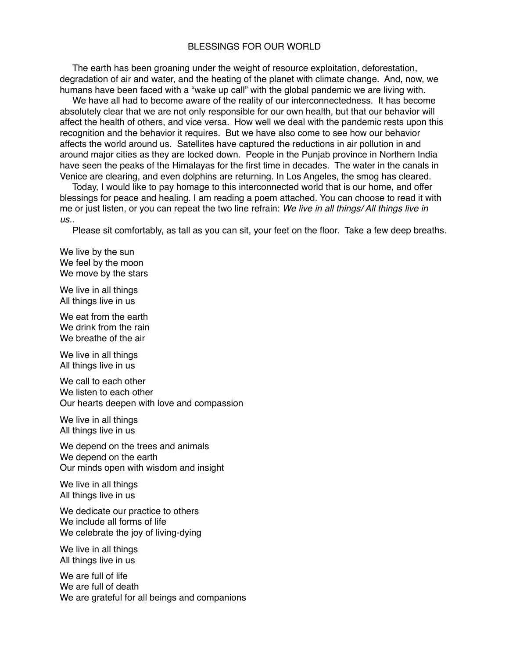## BLESSINGS FOR OUR WORLD

 The earth has been groaning under the weight of resource exploitation, deforestation, degradation of air and water, and the heating of the planet with climate change. And, now, we humans have been faced with a "wake up call" with the global pandemic we are living with.

 We have all had to become aware of the reality of our interconnectedness. It has become absolutely clear that we are not only responsible for our own health, but that our behavior will affect the health of others, and vice versa. How well we deal with the pandemic rests upon this recognition and the behavior it requires. But we have also come to see how our behavior affects the world around us. Satellites have captured the reductions in air pollution in and around major cities as they are locked down. People in the Punjab province in Northern India have seen the peaks of the Himalayas for the first time in decades. The water in the canals in Venice are clearing, and even dolphins are returning. In Los Angeles, the smog has cleared.

 Today, I would like to pay homage to this interconnected world that is our home, and offer blessings for peace and healing. I am reading a poem attached. You can choose to read it with me or just listen, or you can repeat the two line refrain: *We live in all things/ All things live in us..* 

Please sit comfortably, as tall as you can sit, your feet on the floor. Take a few deep breaths.

We live by the sun We feel by the moon We move by the stars

We live in all things All things live in us

We eat from the earth We drink from the rain We breathe of the air

We live in all things All things live in us

We call to each other We listen to each other Our hearts deepen with love and compassion

We live in all things All things live in us

We depend on the trees and animals We depend on the earth Our minds open with wisdom and insight

We live in all things All things live in us

We dedicate our practice to others We include all forms of life We celebrate the joy of living-dying

We live in all things All things live in us

We are full of life We are full of death We are grateful for all beings and companions